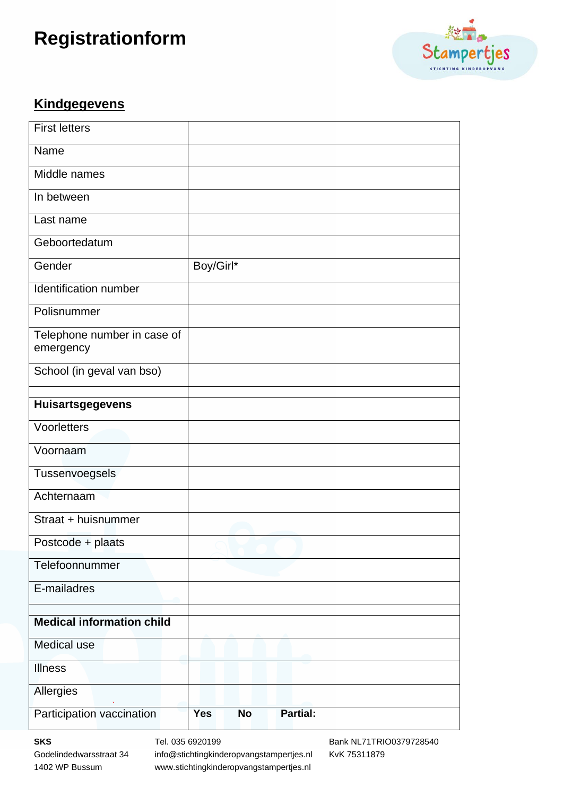# **Registrationform**



#### **Kindgegevens**

| <b>First letters</b>                     |            |           |          |  |
|------------------------------------------|------------|-----------|----------|--|
| Name                                     |            |           |          |  |
| Middle names                             |            |           |          |  |
| In between                               |            |           |          |  |
| Last name                                |            |           |          |  |
| Geboortedatum                            |            |           |          |  |
| Gender                                   | Boy/Girl*  |           |          |  |
| Identification number                    |            |           |          |  |
| Polisnummer                              |            |           |          |  |
| Telephone number in case of<br>emergency |            |           |          |  |
| School (in geval van bso)                |            |           |          |  |
| <b>Huisartsgegevens</b>                  |            |           |          |  |
| Voorletters                              |            |           |          |  |
| Voornaam                                 |            |           |          |  |
|                                          |            |           |          |  |
| Tussenvoegsels                           |            |           |          |  |
| Achternaam                               |            |           |          |  |
| Straat + huisnummer                      |            |           |          |  |
| Postcode + plaats                        |            |           |          |  |
| Telefoonnummer                           |            |           |          |  |
| E-mailadres                              |            |           |          |  |
| <b>Medical information child</b>         |            |           |          |  |
|                                          |            |           |          |  |
| Medical use                              |            |           |          |  |
| <b>Illness</b>                           |            |           |          |  |
| Allergies                                |            |           |          |  |
| Participation vaccination                | <b>Yes</b> | <b>No</b> | Partial: |  |

**SKS** Tel. 035 6920199 Bank NL71TRIO0379728540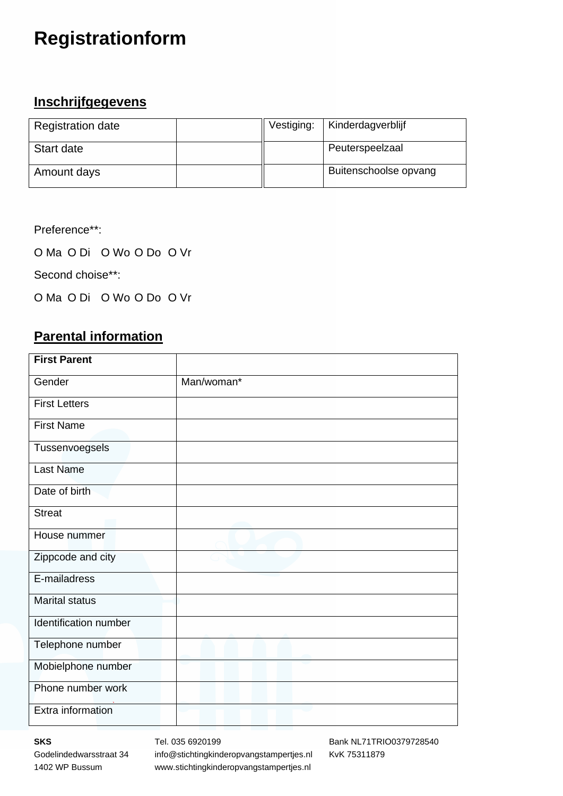## **Registrationform**

### **Inschrijfgegevens**

| <b>Registration date</b> | Vestiging: | Kinderdagverblijf     |
|--------------------------|------------|-----------------------|
| Start date               |            | Peuterspeelzaal       |
| Amount days              |            | Buitenschoolse opvang |

Preference\*\*:

O Ma O Di O Wo O Do O Vr

Second choise\*\*:

O Ma O Di O Wo O Do O Vr

### **Parental information**

| <b>First Parent</b>   |            |
|-----------------------|------------|
|                       |            |
| Gender                | Man/woman* |
| <b>First Letters</b>  |            |
| <b>First Name</b>     |            |
| Tussenvoegsels        |            |
| <b>Last Name</b>      |            |
| Date of birth         |            |
| <b>Streat</b>         |            |
| House nummer          |            |
| Zippcode and city     |            |
| E-mailadress          |            |
| <b>Marital status</b> |            |
| Identification number |            |
| Telephone number      |            |
| Mobielphone number    |            |
| Phone number work     |            |
| Extra information     |            |

**SKS** Tel. 035 6920199 Bank NL71TRIO0379728540 Godelindedwarsstraat 34 info@stichtingkinderopvangstampertjes.nl KvK 75311879 1402 WP Bussum www.stichtingkinderopvangstampertjes.nl